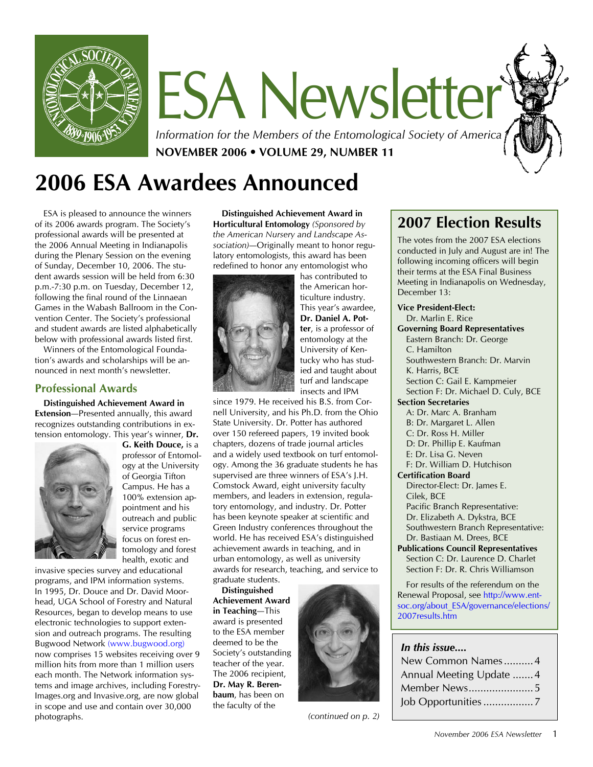

# ESA Newsletter

*Information for the Members of the Entomological Society of America* **NOVEMBER 2006 • VOLUME 29, NUMBER 11**

# **2006 ESA Awardees Announced**

ESA is pleased to announce the winners of its 2006 awards program. The Society's professional awards will be presented at the 2006 Annual Meeting in Indianapolis during the Plenary Session on the evening of Sunday, December 10, 2006. The student awards session will be held from 6:30 p.m.-7:30 p.m. on Tuesday, December 12, following the final round of the Linnaean Games in the Wabash Ballroom in the Convention Center. The Society's professional and student awards are listed alphabetically below with professional awards listed first.

Winners of the Entomological Foundation's awards and scholarships will be announced in next month's newsletter.

# **Professional Awards**

**Distinguished Achievement Award in Extension**—Presented annually, this award recognizes outstanding contributions in extension entomology. This year's winner, **Dr.** 



**G. Keith Douce,** is a professor of Entomology at the University of Georgia Tifton Campus. He has a 100% extension appointment and his outreach and public service programs focus on forest entomology and forest health, exotic and

invasive species survey and educational programs, and IPM information systems. In 1995, Dr. Douce and Dr. David Moorhead, UGA School of Forestry and Natural Resources, began to develop means to use electronic technologies to support extension and outreach programs. The resulting Bugwood Network ([www.bugwood.org](http://www.bugwood.org)) now comprises 15 websites receiving over 9 million hits from more than 1 million users each month. The Network information systems and image archives, including Forestry-Images.org and Invasive.org, are now global in scope and use and contain over 30,000 photographs.

**Distinguished Achievement Award in Horticultural Entomology** *(Sponsored by the American Nursery and Landscape Association)*—Originally meant to honor regulatory entomologists, this award has been redefined to honor any entomologist who



has contributed to the American horticulture industry. This year's awardee, **Dr. Daniel A. Potter**, is a professor of entomology at the University of Kentucky who has studied and taught about turf and landscape insects and IPM

since 1979. He received his B.S. from Cornell University, and his Ph.D. from the Ohio State University. Dr. Potter has authored over 150 refereed papers, 19 invited book chapters, dozens of trade journal articles and a widely used textbook on turf entomology. Among the 36 graduate students he has supervised are three winners of ESA's J.H. Comstock Award, eight university faculty members, and leaders in extension, regulatory entomology, and industry. Dr. Potter has been keynote speaker at scientific and Green Industry conferences throughout the world. He has received ESA's distinguished achievement awards in teaching, and in urban entomology, as well as university awards for research, teaching, and service to graduate students.

**Distinguished Achievement Award in Teaching**—This award is presented to the ESA member deemed to be the Society's outstanding teacher of the year. The 2006 recipient, **Dr. May R. Berenbaum**, has been on the faculty of the



*(continued on p. 2)*

# **2007 Election Results**

The votes from the 2007 ESA elections conducted in July and August are in! The following incoming officers will begin their terms at the ESA Final Business Meeting in Indianapolis on Wednesday, December 13:

**Vice President-Elect:** Dr. Marlin E. Rice

# **Governing Board Representatives**

Eastern Branch: Dr. George C. Hamilton Southwestern Branch: Dr. Marvin K. Harris, BCE Section C: Gail E. Kampmeier Section F: Dr. Michael D. Culy, BCE

**Section Secretaries**

A: Dr. Marc A. Branham B: Dr. Margaret L. Allen C: Dr. Ross H. Miller D: Dr. Phillip E. Kaufman

E: Dr. Lisa G. Neven

F: Dr. William D. Hutchison

**Certification Board**

Director-Elect: Dr. James E. Cilek, BCE Pacific Branch Representative: Dr. Elizabeth A. Dykstra, BCE Southwestern Branch Representative: Dr. Bastiaan M. Drees, BCE

**Publications Council Representatives** Section C: Dr. Laurence D. Charlet Section F: Dr. R. Chris Williamson

For results of the referendum on the Renewal Proposal, see [http://www.ent](http://www.entsoc.org/about_ESA/governance/elections/2007results.htm)[soc.org/about\\_ESA/governance/elections/](http://www.entsoc.org/about_ESA/governance/elections/2007results.htm) [2007results.htm](http://www.entsoc.org/about_ESA/governance/elections/2007results.htm)

# *In this issue....*

| New Common Names4       |  |  |
|-------------------------|--|--|
| Annual Meeting Update 4 |  |  |
|                         |  |  |
|                         |  |  |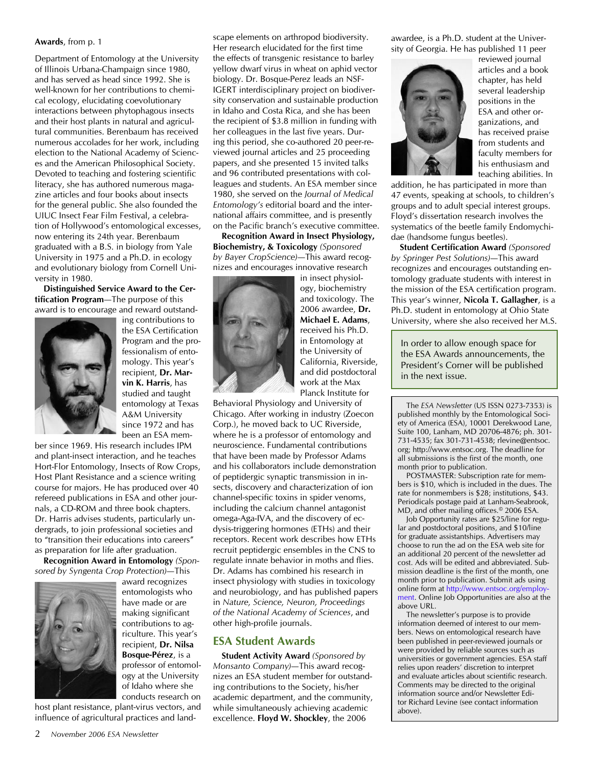### **Awards**, from p. 1

Department of Entomology at the University of Illinois Urbana-Champaign since 1980, and has served as head since 1992. She is well-known for her contributions to chemical ecology, elucidating coevolutionary interactions between phytophagous insects and their host plants in natural and agricultural communities. Berenbaum has received numerous accolades for her work, including election to the National Academy of Sciences and the American Philosophical Society. Devoted to teaching and fostering scientific literacy, she has authored numerous magazine articles and four books about insects for the general public. She also founded the UIUC Insect Fear Film Festival, a celebration of Hollywood's entomological excesses, now entering its 24th year. Berenbaum graduated with a B.S. in biology from Yale University in 1975 and a Ph.D. in ecology and evolutionary biology from Cornell University in 1980.

**Distinguished Service Award to the Certification Program**—The purpose of this award is to encourage and reward outstand-



ing contributions to the ESA Certification Program and the professionalism of entomology. This year's recipient, **Dr. Marvin K. Harris**, has studied and taught entomology at Texas A&M University since 1972 and has been an ESA mem-

ber since 1969. His research includes IPM and plant-insect interaction, and he teaches Hort-Flor Entomology, Insects of Row Crops, Host Plant Resistance and a science writing course for majors. He has produced over 40 refereed publications in ESA and other journals, a CD-ROM and three book chapters. Dr. Harris advises students, particularly undergrads, to join professional societies and to "transition their educations into careers" as preparation for life after graduation.

**Recognition Award in Entomology** *(Sponsored by Syngenta Crop Protection)*—This



award recognizes entomologists who have made or are making significant contributions to agriculture. This year's recipient, **Dr. Nilsa Bosque-Pérez**, is a professor of entomology at the University of Idaho where she conducts research on

host plant resistance, plant-virus vectors, and influence of agricultural practices and land-

in Idaho and Costa Rica, and she has been the recipient of \$3.8 million in funding with her colleagues in the last five years. During this period, she co-authored 20 peer-reviewed journal articles and 25 proceeding papers, and she presented 15 invited talks and 96 contributed presentations with colleagues and students. An ESA member since 1980, she served on the *Journal of Medical Entomology's* editorial board and the international affairs committee, and is presently on the Pacific branch's executive committee. **Recognition Award in Insect Physiology, Biochemistry, & Toxicology** *(Sponsored by Bayer CropScience)*—This award recognizes and encourages innovative research

scape elements on arthropod biodiversity. Her research elucidated for the first time the effects of transgenic resistance to barley yellow dwarf virus in wheat on aphid vector biology. Dr. Bosque-Perez leads an NSF-IGERT interdisciplinary project on biodiversity conservation and sustainable production

> in insect physiology, biochemistry and toxicology. The 2006 awardee, **Dr. Michael E. Adams**, received his Ph.D. in Entomology at the University of California, Riverside, and did postdoctoral work at the Max Planck Institute for

Behavioral Physiology and University of Chicago. After working in industry (Zoecon Corp.), he moved back to UC Riverside, where he is a professor of entomology and neuroscience. Fundamental contributions that have been made by Professor Adams and his collaborators include demonstration of peptidergic synaptic transmission in insects, discovery and characterization of ion channel-specific toxins in spider venoms, including the calcium channel antagonist omega-Aga-IVA, and the discovery of ecdysis-triggering hormones (ETHs) and their receptors. Recent work describes how ETHs recruit peptidergic ensembles in the CNS to regulate innate behavior in moths and flies. Dr. Adams has combined his research in insect physiology with studies in toxicology and neurobiology, and has published papers in *Nature, Science, Neuron, Proceedings of the National Academy of Sciences*, and other high-profile journals.

# **ESA Student Awards**

**Student Activity Award** *(Sponsored by Monsanto Company)*—This award recognizes an ESA student member for outstanding contributions to the Society, his/her academic department, and the community, while simultaneously achieving academic excellence. **Floyd W. Shockley**, the 2006

awardee, is a Ph.D. student at the University of Georgia. He has published 11 peer



reviewed journal articles and a book chapter, has held several leadership positions in the ESA and other organizations, and has received praise from students and faculty members for his enthusiasm and teaching abilities. In

addition, he has participated in more than 47 events, speaking at schools, to children's groups and to adult special interest groups. Floyd's dissertation research involves the systematics of the beetle family Endomychidae (handsome fungus beetles).

**Student Certification Award** *(Sponsored by Springer Pest Solutions)*—This award recognizes and encourages outstanding entomology graduate students with interest in the mission of the ESA certification program. This year's winner, **Nicola T. Gallagher**, is a Ph.D. student in entomology at Ohio State University, where she also received her M.S.

In order to allow enough space for the ESA Awards announcements, the President's Corner will be published in the next issue.

The *ESA Newsletter* (US ISSN 0273-7353) is published monthly by the Entomological Society of America (ESA), 10001 Derekwood Lane, Suite 100, Lanham, MD 20706-4876; ph. 301- 731-4535; fax 301-731-4538; rlevine@entsoc. org; http://www.entsoc.org. The deadline for all submissions is the first of the month, one month prior to publication.

POSTMASTER: Subscription rate for members is \$10, which is included in the dues. The rate for nonmembers is \$28; institutions, \$43. Periodicals postage paid at Lanham-Seabrook, MD, and other mailing offices.© 2006 ESA.

Job Opportunity rates are \$25/line for regular and postdoctoral positions, and \$10/line for graduate assistantships. Advertisers may choose to run the ad on the ESA web site for an additional 20 percent of the newsletter ad cost. Ads will be edited and abbreviated. Submission deadline is the first of the month, one month prior to publication. Submit ads using online form at [http://www.entsoc.org/employ](http://www.entsoc.org/employment)[ment](http://www.entsoc.org/employment). Online Job Opportunities are also at the above URL.

The newsletter's purpose is to provide information deemed of interest to our members. News on entomological research have been published in peer-reviewed journals or were provided by reliable sources such as universities or government agencies. ESA staff relies upon readers' discretion to interpret and evaluate articles about scientific research. Comments may be directed to the original information source and/or Newsletter Editor Richard Levine (see contact information above).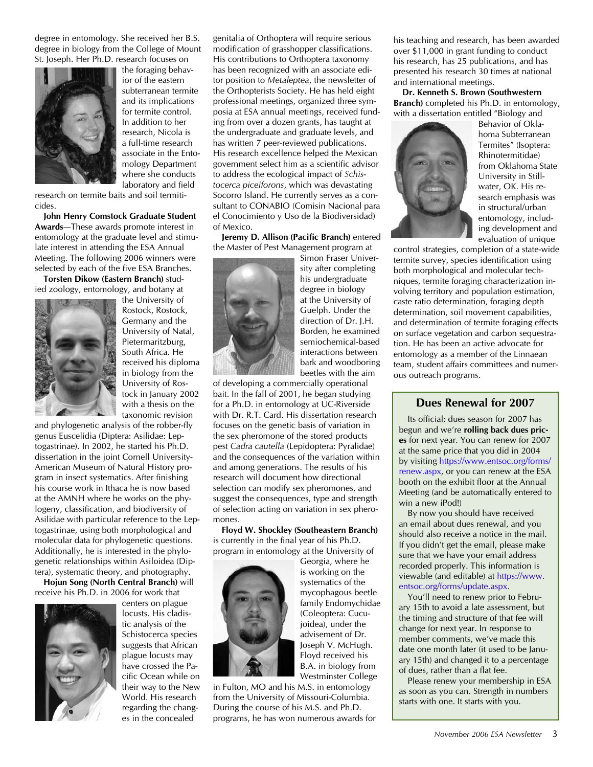degree in entomology. She received her B.S. degree in biology from the College of Mount St. Joseph. Her Ph.D. research focuses on



the foraging behavior of the eastern subterranean termite and its implications for termite control. In addition to her research, Nicola is a full-time research associate in the Entomology Department where she conducts laboratory and field

research on termite baits and soil termiticides.

**John Henry Comstock Graduate Student Awards**—These awards promote interest in entomology at the graduate level and stimulate interest in attending the ESA Annual Meeting. The following 2006 winners were selected by each of the five ESA Branches.

**Torsten Dikow (Eastern Branch)** studied zoology, entomology, and botany at



the University of Rostock, Rostock, Germany and the University of Natal, Pietermaritzburg, South Africa. He received his diploma in biology from the University of Rostock in January 2002 with a thesis on the taxonomic revision

and phylogenetic analysis of the robber-fly genus Euscelidia (Diptera: Asilidae: Leptogastrinae). In 2002, he started his Ph.D. dissertation in the joint Cornell University-American Museum of Natural History program in insect systematics. After finishing his course work in Ithaca he is now based at the AMNH where he works on the phylogeny, classification, and biodiversity of Asilidae with particular reference to the Leptogastrinae, using both morphological and molecular data for phylogenetic questions. Additionally, he is interested in the phylogenetic relationships within Asiloidea (Diptera), systematic theory, and photography.

**Hojun Song (North Central Branch)** will receive his Ph.D. in 2006 for work that



centers on plague locusts. His cladistic analysis of the Schistocerca species suggests that African plague locusts may have crossed the Pacific Ocean while on their way to the New World. His research regarding the changes in the concealed

genitalia of Orthoptera will require serious modification of grasshopper classifications. His contributions to Orthoptera taxonomy has been recognized with an associate editor position to *Metaleptea*, the newsletter of the Orthopterists Society. He has held eight professional meetings, organized three symposia at ESA annual meetings, received funding from over a dozen grants, has taught at the undergraduate and graduate levels, and has written 7 peer-reviewed publications. His research excellence helped the Mexican government select him as a scientific advisor to address the ecological impact of *Schistocerca piceiforons*, which was devastating Socorro Island. He currently serves as a consultant to CONABIO (Comisin Nacional para el Conocimiento y Uso de la Biodiversidad) of Mexico.

**Jeremy D. Allison (Pacific Branch)** entered the Master of Pest Management program at



Simon Fraser University after completing his undergraduate degree in biology at the University of Guelph. Under the direction of Dr. J.H. Borden, he examined semiochemical-based interactions between bark and woodboring beetles with the aim

of developing a commercially operational bait. In the fall of 2001, he began studying for a Ph.D. in entomology at UC-Riverside with Dr. R.T. Card. His dissertation research focuses on the genetic basis of variation in the sex pheromone of the stored products pest *Cadra cautella* (Lepidoptera: Pyralidae) and the consequences of the variation within and among generations. The results of his research will document how directional selection can modify sex pheromones, and suggest the consequences, type and strength of selection acting on variation in sex pheromones.

**Floyd W. Shockley (Southeastern Branch)** is currently in the final year of his Ph.D. program in entomology at the University of



Georgia, where he is working on the systematics of the mycophagous beetle family Endomychidae (Coleoptera: Cucujoidea), under the advisement of Dr. Joseph V. McHugh. Floyd received his B.A. in biology from Westminster College

in Fulton, MO and his M.S. in entomology from the University of Missouri-Columbia. During the course of his M.S. and Ph.D. programs, he has won numerous awards for his teaching and research, has been awarded over \$11,000 in grant funding to conduct his research, has 25 publications, and has presented his research 30 times at national and international meetings.

**Dr. Kenneth S. Brown (Southwestern Branch)** completed his Ph.D. in entomology, with a dissertation entitled "Biology and



Behavior of Oklahoma Subterranean Termites" (Isoptera: Rhinotermitidae) from Oklahoma State University in Stillwater, OK. His research emphasis was in structural/urban entomology, including development and evaluation of unique

control strategies, completion of a state-wide termite survey, species identification using both morphological and molecular techniques, termite foraging characterization involving territory and population estimation, caste ratio determination, foraging depth determination, soil movement capabilities, and determination of termite foraging effects on surface vegetation and carbon sequestration. He has been an active advocate for entomology as a member of the Linnaean team, student affairs committees and numerous outreach programs.

# **Dues Renewal for 2007**

Its official: dues season for 2007 has begun and we're **rolling back dues prices** for next year. You can renew for 2007 at the same price that you did in 2004 by visiting [https://www.entsoc.org/forms/](https://www.entsoc.org/forms/renew.aspx) [renew.aspx,](https://www.entsoc.org/forms/renew.aspx) or you can renew at the ESA booth on the exhibit floor at the Annual Meeting (and be automatically entered to win a new iPod!)

By now you should have received an email about dues renewal, and you should also receive a notice in the mail. If you didn't get the email, please make sure that we have your email address recorded properly. This information is viewable (and editable) at [https://www.](https://www.entsoc.org/forms/update.aspx) [entsoc.org/forms/update.aspx](https://www.entsoc.org/forms/update.aspx).

You'll need to renew prior to February 15th to avoid a late assessment, but the timing and structure of that fee will change for next year. In response to member comments, we've made this date one month later (it used to be January 15th) and changed it to a percentage of dues, rather than a flat fee.

Please renew your membership in ESA as soon as you can. Strength in numbers starts with one. It starts with you.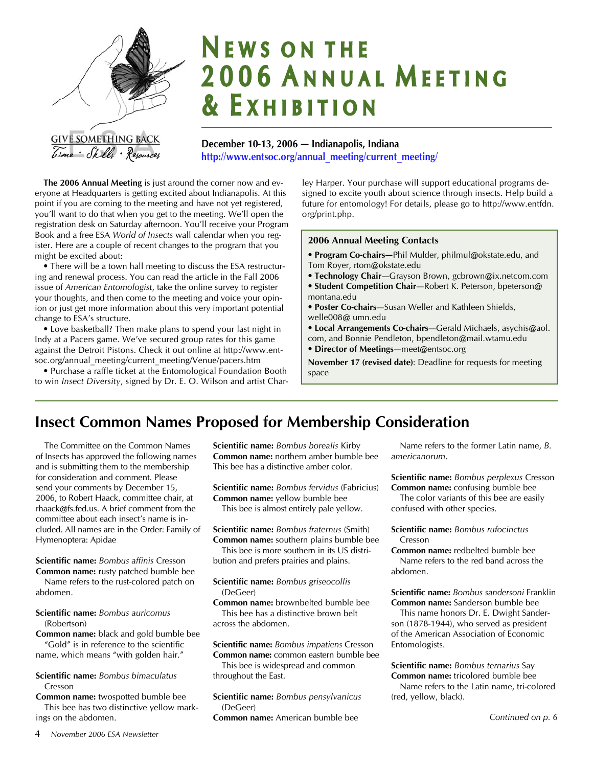

# **NEWS ON THE** 2006 ANNUAL MEETING **& EXHIBITION**

**December 10-13, 2006 — Indianapolis, Indiana [http://www.entsoc.org/annual\\_meeting/current\\_meeting/](http://www.entsoc.org/annual_meeting/current_meeting/)**

**The 2006 Annual Meeting** is just around the corner now and everyone at Headquarters is getting excited about Indianapolis. At this point if you are coming to the meeting and have not yet registered, you'll want to do that when you get to the meeting. We'll open the registration desk on Saturday afternoon. You'll receive your Program Book and a free ESA *World of Insects* wall calendar when you register. Here are a couple of recent changes to the program that you might be excited about:

• There will be a town hall meeting to discuss the ESA restructuring and renewal process. You can read the article in the Fall 2006 issue of *American Entomologist*, take the online survey to register your thoughts, and then come to the meeting and voice your opinion or just get more information about this very important potential change to ESA's structure.

• Love basketball? Then make plans to spend your last night in Indy at a Pacers game. We've secured group rates for this game against the Detroit Pistons. Check it out online at http://www.entsoc.org/annual\_meeting/current\_meeting/Venue/pacers.htm

• Purchase a raffle ticket at the Entomological Foundation Booth to win *Insect Diversity*, signed by Dr. E. O. Wilson and artist Charley Harper. Your purchase will support educational programs designed to excite youth about science through insects. Help build a future for entomology! For details, please go to http://www.entfdn. org/print.php.

### **2006 Annual Meeting Contacts**

- **Program Co-chairs—**Phil Mulder, philmul@okstate.edu, and Tom Royer, rtom@okstate.edu
- **Technology Chair**—Grayson Brown, gcbrown@ix.netcom.com
- **Student Competition Chair**—Robert K. Peterson, bpeterson@ montana.edu
- **Poster Co-chairs**—Susan Weller and Kathleen Shields, welle008@ umn.edu
- **Local Arrangements Co-chairs**—Gerald Michaels, asychis@aol. com, and Bonnie Pendleton, bpendleton@mail.wtamu.edu
- **Director of Meetings**—meet@entsoc.org

**November 17 (revised date)**: Deadline for requests for meeting space

# **Insect Common Names Proposed for Membership Consideration**

The Committee on the Common Names of Insects has approved the following names and is submitting them to the membership for consideration and comment. Please send your comments by December 15, 2006, to Robert Haack, committee chair, at rhaack@fs.fed.us. A brief comment from the committee about each insect's name is included. All names are in the Order: Family of Hymenoptera: Apidae

**Scientific name:** *Bombus affinis* Cresson **Common name:** rusty patched bumble bee

Name refers to the rust-colored patch on abdomen.

# **Scientific name:** *Bombus auricomus* (Robertson)

**Common name:** black and gold bumble bee "Gold" is in reference to the scientific name, which means "with golden hair."

**Scientific name:** *Bombus bimaculatus* Cresson

**Common name:** twospotted bumble bee This bee has two distinctive yellow markings on the abdomen.

**Common name:** northern amber bumble bee This bee has a distinctive amber color. **Scientific name:** *Bombus fervidus* (Fabricius)

**Scientific name:** *Bombus borealis* Kirby

**Common name:** yellow bumble bee This bee is almost entirely pale yellow.

**Scientific name:** *Bombus fraternus* (Smith) **Common name:** southern plains bumble bee

This bee is more southern in its US distribution and prefers prairies and plains.

### **Scientific name:** *Bombus griseocollis* (DeGeer)

**Common name:** brownbelted bumble bee This bee has a distinctive brown belt across the abdomen.

**Scientific name:** *Bombus impatiens* Cresson **Common name:** common eastern bumble bee

This bee is widespread and common throughout the East.

**Scientific name:** *Bombus pensylvanicus* (DeGeer)

**Common name:** American bumble bee

Name refers to the former Latin name, *B. americanorum*.

**Scientific name:** *Bombus perplexus* Cresson **Common name:** confusing bumble bee The color variants of this bee are easily

confused with other species.

**Scientific name:** *Bombus rufocinctus* Cresson

**Common name:** redbelted bumble bee Name refers to the red band across the abdomen.

**Scientific name:** *Bombus sandersoni* Franklin **Common name:** Sanderson bumble bee

This name honors Dr. E. Dwight Sanderson (1878-1944), who served as president of the American Association of Economic Entomologists.

**Scientific name:** *Bombus ternarius* Say **Common name:** tricolored bumble bee Name refers to the Latin name, tri-colored (red, yellow, black).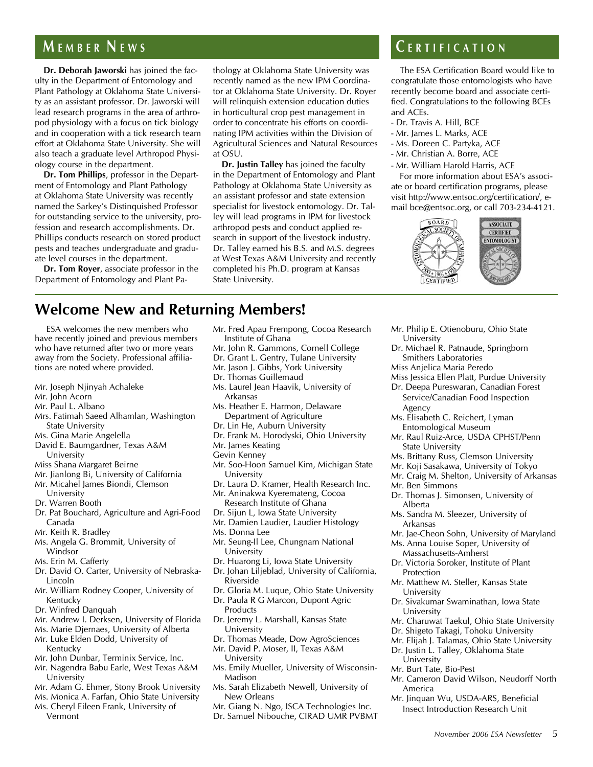**Dr. Deborah Jaworski** has joined the faculty in the Department of Entomology and Plant Pathology at Oklahoma State University as an assistant professor. Dr. Jaworski will lead research programs in the area of arthropod physiology with a focus on tick biology and in cooperation with a tick research team effort at Oklahoma State University. She will also teach a graduate level Arthropod Physiology course in the department.

**Dr. Tom Phillips**, professor in the Department of Entomology and Plant Pathology at Oklahoma State University was recently named the Sarkey's Distinquished Professor for outstanding service to the university, profession and research accomplishments. Dr. Phillips conducts research on stored product pests and teaches undergraduate and graduate level courses in the department.

**Dr. Tom Royer**, associate professor in the Department of Entomology and Plant Pathology at Oklahoma State University was recently named as the new IPM Coordinator at Oklahoma State University. Dr. Royer will relinquish extension education duties in horticultural crop pest management in order to concentrate his efforts on coordinating IPM activities within the Division of Agricultural Sciences and Natural Resources at OSU.

**Dr. Justin Talley** has joined the faculty in the Department of Entomology and Plant Pathology at Oklahoma State University as an assistant professor and state extension specialist for livestock entomology. Dr. Talley will lead programs in IPM for livestock arthropod pests and conduct applied research in support of the livestock industry. Dr. Talley earned his B.S. and M.S. degrees at West Texas A&M University and recently completed his Ph.D. program at Kansas State University.

# **M E M B E R N E W S C E R T I F I C A T I O N**

The ESA Certification Board would like to congratulate those entomologists who have recently become board and associate certified. Congratulations to the following BCEs and ACEs.

- Dr. Travis A. Hill, BCE
- Mr. James L. Marks, ACE
- Ms. Doreen C. Partyka, ACE
- Mr. Christian A. Borre, ACE
- Mr. William Harold Harris, ACE

For more information about ESA's associate or board certification programs, please visit http://www.entsoc.org/certification/, email bce@entsoc.org, or call 703-234-4121.



# **Welcome New and Returning Members!**

ESA welcomes the new members who have recently joined and previous members who have returned after two or more years away from the Society. Professional affiliations are noted where provided.

- Mr. Joseph Njinyah Achaleke
- Mr. John Acorn
- Mr. Paul L. Albano
- Mrs. Fatimah Saeed Alhamlan, Washington State University
- Ms. Gina Marie Angelella
- David E. Baumgardner, Texas A&M
- University
- Miss Shana Margaret Beirne
- Mr. Jianlong Bi, University of California
- Mr. Micahel James Biondi, Clemson University
- Dr. Warren Booth
- Dr. Pat Bouchard, Agriculture and Agri-Food Canada
- Mr. Keith R. Bradley
- Ms. Angela G. Brommit, University of Windsor
- Ms. Erin M. Cafferty
- Dr. David O. Carter, University of Nebraska-Lincoln
- Mr. William Rodney Cooper, University of Kentucky
- Dr. Winfred Danquah
- Mr. Andrew I. Derksen, University of Florida
- Ms. Marie Djernaes, University of Alberta
- Mr. Luke Elden Dodd, University of Kentucky
- Mr. John Dunbar, Terminix Service, Inc.
- Mr. Nagendra Babu Earle, West Texas A&M University
- Mr. Adam G. Ehmer, Stony Brook University
- Ms. Monica A. Farfan, Ohio State University
- Ms. Cheryl Eileen Frank, University of Vermont
- Mr. Fred Apau Frempong, Cocoa Research Institute of Ghana
- Mr. John R. Gammons, Cornell College
- Dr. Grant L. Gentry, Tulane University
- Mr. Jason J. Gibbs, York University
- Dr. Thomas Guillemaud
- Ms. Laurel Jean Haavik, University of Arkansas
- Ms. Heather E. Harmon, Delaware Department of Agriculture
- Dr. Lin He, Auburn University
- Dr. Frank M. Horodyski, Ohio University
- Mr. James Keating
- Gevin Kenney
- Mr. Soo-Hoon Samuel Kim, Michigan State University
- Dr. Laura D. Kramer, Health Research Inc. Mr. Aninakwa Kyeremateng, Cocoa
- Research Institute of Ghana
- Dr. Sijun L, Iowa State University
- Mr. Damien Laudier, Laudier Histology Ms. Donna Lee
- Mr. Seung-Il Lee, Chungnam National University
- Dr. Huarong Li, Iowa State University
- Dr. Johan Liljeblad, University of California, Riverside
- Dr. Gloria M. Luque, Ohio State University
- Dr. Paula R G Marcon, Dupont Agric
- Products Dr. Jeremy L. Marshall, Kansas State University
- Dr. Thomas Meade, Dow AgroSciences
- Mr. David P. Moser, II, Texas A&M
- **University**
- Ms. Emily Mueller, University of Wisconsin-Madison
- Ms. Sarah Elizabeth Newell, University of New Orleans
- Mr. Giang N. Ngo, ISCA Technologies Inc.
- Dr. Samuel Nibouche, CIRAD UMR PVBMT
- Mr. Philip E. Otienoburu, Ohio State University
- Dr. Michael R. Patnaude, Springborn Smithers Laboratories
- Miss Anjelica Maria Peredo
- Miss Jessica Ellen Platt, Purdue University
- Dr. Deepa Pureswaran, Canadian Forest Service/Canadian Food Inspection Agency
- Ms. Elisabeth C. Reichert, Lyman Entomological Museum
- Mr. Raul Ruiz-Arce, USDA CPHST/Penn State University
- Ms. Brittany Russ, Clemson University
- Mr. Koji Sasakawa, University of Tokyo
- Mr. Craig M. Shelton, University of Arkansas
- Mr. Ben Simmons
- Dr. Thomas J. Simonsen, University of Alberta
- Ms. Sandra M. Sleezer, University of Arkansas
- Mr. Jae-Cheon Sohn, University of Maryland
- Ms. Anna Louise Soper, University of Massachusetts-Amherst
- Dr. Victoria Soroker, Institute of Plant Protection
- Mr. Matthew M. Steller, Kansas State University
- Dr. Sivakumar Swaminathan, Iowa State University
- Mr. Charuwat Taekul, Ohio State University
- Dr. Shigeto Takagi, Tohoku University
- Mr. Elijah J. Talamas, Ohio State University Dr. Justin L. Talley, Oklahoma State
- University
- Mr. Burt Tate, Bio-Pest
- Mr. Cameron David Wilson, Neudorff North America
- Mr. Jinquan Wu, USDA-ARS, Beneficial Insect Introduction Research Unit

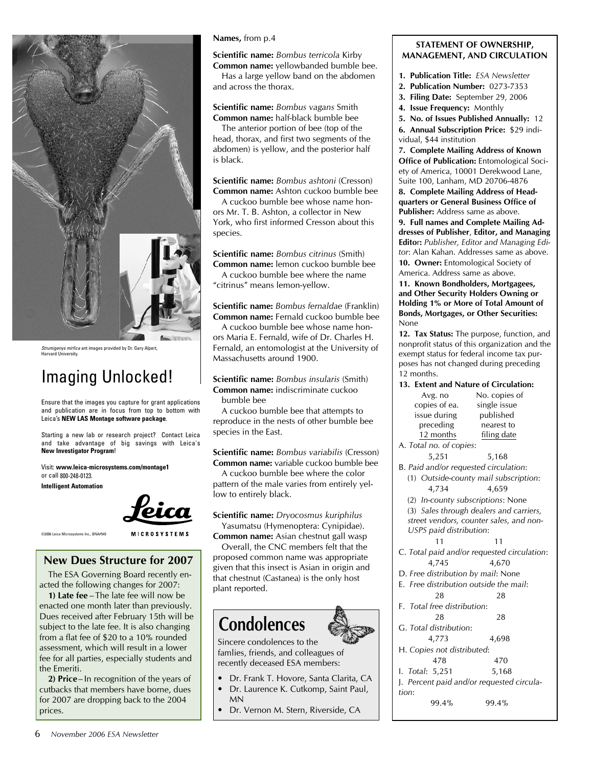

Strumigenys mirfica ant images provided by Dr. Gary Alpert, Harvard University.

# Imaging Unlocked!

Ensure that the images you capture for grant applications and publication are in focus from top to bottom with Leica's **NEW LAS Montage software package**.

Starting a new lab or research project? Contact Leica and take advantage of big savings with Leica's **New Investigator Program**!

Visit: **www.leica-microsystems.com/montage1**  or call 800-248-0123.

**Intelligent Automation**



**MICROSYSTEMS** 

©2006 Leica Microsystems Inc., BNA#545

# **New Dues Structure for 2007**

The ESA Governing Board recently enacted the following changes for 2007:

**1) Late fee** –The late fee will now be enacted one month later than previously. Dues received after February 15th will be subject to the late fee. It is also changing from a flat fee of \$20 to a 10% rounded assessment, which will result in a lower fee for all parties, especially students and the Emeriti.

**2) Price**– In recognition of the years of cutbacks that members have borne, dues for 2007 are dropping back to the 2004 prices.

### **Names,** from p.4

**Scientific name:** *Bombus terricola* Kirby

**Common name:** yellowbanded bumble bee. Has a large yellow band on the abdomen and across the thorax.

**Scientific name:** *Bombus vagans* Smith **Common name:** half-black bumble bee

The anterior portion of bee (top of the head, thorax, and first two segments of the abdomen) is yellow, and the posterior half is black.

**Scientific name:** *Bombus ashtoni* (Cresson) **Common name:** Ashton cuckoo bumble bee

A cuckoo bumble bee whose name honors Mr. T. B. Ashton, a collector in New York, who first informed Cresson about this species.

**Scientific name:** *Bombus citrinus* (Smith) **Common name:** lemon cuckoo bumble bee

A cuckoo bumble bee where the name "citrinus" means lemon-yellow.

**Scientific name:** *Bombus fernaldae* (Franklin) **Common name:** Fernald cuckoo bumble bee

A cuckoo bumble bee whose name honors Maria E. Fernald, wife of Dr. Charles H. Fernald, an entomologist at the University of Massachusetts around 1900.

**Scientific name:** *Bombus insularis* (Smith) **Common name:** indiscriminate cuckoo bumble bee

A cuckoo bumble bee that attempts to reproduce in the nests of other bumble bee species in the East.

**Scientific name:** *Bombus variabilis* (Cresson) **Common name:** variable cuckoo bumble bee

A cuckoo bumble bee where the color pattern of the male varies from entirely yellow to entirely black.

**Scientific name:** *Dryocosmus kuriphilus* Yasumatsu (Hymenoptera: Cynipidae).

**Common name:** Asian chestnut gall wasp Overall, the CNC members felt that the proposed common name was appropriate

given that this insect is Asian in origin and that chestnut (Castanea) is the only host plant reported.

# **Condolences**

Sincere condolences to the famlies, friends, and colleagues of recently deceased ESA members:

- Dr. Frank T. Hovore, Santa Clarita, CA •
- Dr. Laurence K. Cutkomp, Saint Paul, MN •
- Dr. Vernon M. Stern, Riverside, CA •

# **STATEMENT OF OWNERSHIP, MANAGEMENT, AND CIRCULATION**

- **1. Publication Title:** *ESA Newsletter*
- **2. Publication Number:** 0273-7353
- **3. Filing Date:** September 29, 2006
- **4. Issue Frequency:** Monthly

**5. No. of Issues Published Annually:** 12 **6. Annual Subscription Price:** \$29 individual, \$44 institution

**7. Complete Mailing Address of Known Office of Publication:** Entomological Society of America, 10001 Derekwood Lane, Suite 100, Lanham, MD 20706-4876

**8. Complete Mailing Address of Headquarters or General Business Office of Publisher:** Address same as above.

**9. Full names and Complete Mailing Addresses of Publisher**, **Editor, and Managing Edito**r**:** *Publisher, Editor and Managing Editor*: Alan Kahan. Addresses same as above.

**10. Owner:** Entomological Society of America. Address same as above.

**11. Known Bondholders, Mortgagees, and Other Security Holders Owning or Holding 1% or More of Total Amount of Bonds, Mortgages, or Other Securities:** None

**12. Tax Status:** The purpose, function, and nonprofit status of this organization and the exempt status for federal income tax purposes has not changed during preceding 12 months.

### **13. Extent and Nature of Circulation:**

|                                      | Avg. no                 | No. copies of |  |
|--------------------------------------|-------------------------|---------------|--|
|                                      | copies of ea.           | single issue  |  |
|                                      | issue during            | published     |  |
|                                      | preceding               | nearest to    |  |
|                                      | 12 months               | filing date   |  |
|                                      | A. Total no. of copies: |               |  |
|                                      | 5,251                   | 5,168         |  |
| B. Paid and/or requested circulation |                         |               |  |
| Quiside-county mail subscrip         |                         |               |  |

(1) *Outside-county mail subscription*: 4,734 4,659

(2) *In-county subscriptions*: None

(3) *Sales through dealers and carriers, street vendors, counter sales, and non- USPS paid distribution*:

11 11

- C. *Total paid and/or requested circulation*: 4,745 4,670
- D. *Free distribution by mail*: None
- E. *Free distribution outside the mail*: 28 28
- F. *Total free distribution*: 28 28
- G. *Total distribution*:
- 4,773 4,698
- H. *Copies not distributed*: 478 470
- I. *Total*: 5,251 5,168
- J. *Percent paid and/or requested circulation*:
	- 99.4% 99.4%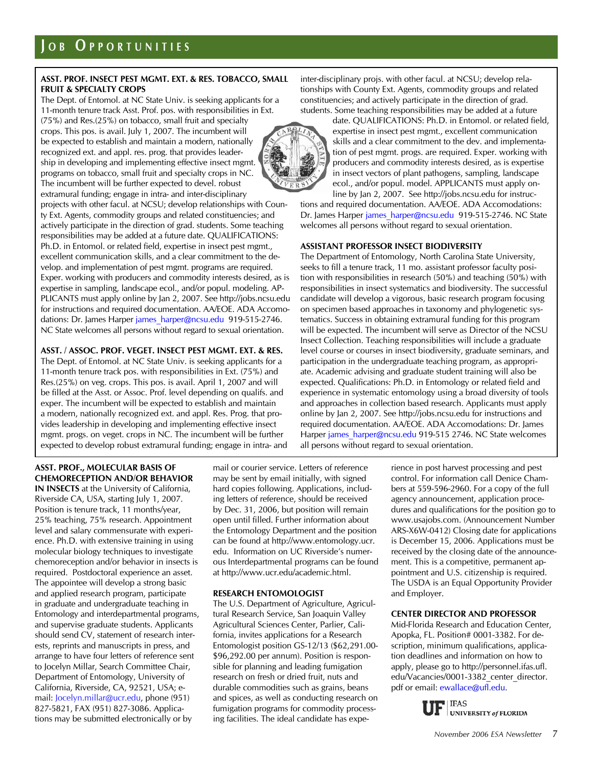# **ASST. PROF. INSECT PEST MGMT. EXT. & RES. TOBACCO, SMALL FRUIT & SPECIALTY CROPS**

The Dept. of Entomol. at NC State Univ. is seeking applicants for a 11-month tenure track Asst. Prof. pos. with responsibilities in Ext. (75%) and Res.(25%) on tobacco, small fruit and specialty crops. This pos. is avail. July 1, 2007. The incumbent will be expected to establish and maintain a modern, nationally recognized ext. and appl. res. prog. that provides leadership in developing and implementing effective insect mgmt. programs on tobacco, small fruit and specialty crops in NC. The incumbent will be further expected to devel. robust extramural funding; engage in intra- and inter-disciplinary projects with other facul. at NCSU; develop relationships with County Ext. Agents, commodity groups and related constituencies; and actively participate in the direction of grad. students. Some teaching responsibilities may be added at a future date. QUALIFICATIONS: Ph.D. in Entomol. or related field, expertise in insect pest mgmt., excellent communication skills, and a clear commitment to the develop. and implementation of pest mgmt. programs are required. Exper. working with producers and commodity interests desired, as is expertise in sampling, landscape ecol., and/or popul. modeling. AP-PLICANTS must apply online by Jan 2, 2007. See http://jobs.ncsu.edu for instructions and required documentation. AA/EOE. ADA Accomo-

dations: Dr. James Harper james harper@ncsu.edu 919-515-2746. NC State welcomes all persons without regard to sexual orientation.

# **ASST. / ASSOC. PROF. VEGET. INSECT PEST MGMT. EXT. & RES.**

The Dept. of Entomol. at NC State Univ. is seeking applicants for a 11-month tenure track pos. with responsibilities in Ext. (75%) and Res.(25%) on veg. crops. This pos. is avail. April 1, 2007 and will be filled at the Asst. or Assoc. Prof. level depending on qualifs. and exper. The incumbent will be expected to establish and maintain a modern, nationally recognized ext. and appl. Res. Prog. that provides leadership in developing and implementing effective insect mgmt. progs. on veget. crops in NC. The incumbent will be further expected to develop robust extramural funding; engage in intra- and inter-disciplinary projs. with other facul. at NCSU; develop relationships with County Ext. Agents, commodity groups and related constituencies; and actively participate in the direction of grad. students. Some teaching responsibilities may be added at a future



date. QUALIFICATIONS: Ph.D. in Entomol. or related field, expertise in insect pest mgmt., excellent communication skills and a clear commitment to the dev. and implementation of pest mgmt. progs. are required. Exper. working with producers and commodity interests desired, as is expertise in insect vectors of plant pathogens, sampling, landscape ecol., and/or popul. model. APPLICANTS must apply online by Jan 2, 2007. See http://jobs.ncsu.edu for instruc-

tions and required documentation. AA/EOE. ADA Accomodations: Dr. James Harper [james\\_harper@ncsu.edu](mailto:james_harper@ncsu.edu) 919-515-2746. NC State welcomes all persons without regard to sexual orientation.

### **ASSISTANT PROFESSOR INSECT BIODIVERSITY**

The Department of Entomology, North Carolina State University, seeks to fill a tenure track, 11 mo. assistant professor faculty position with responsibilities in research (50%) and teaching (50%) with responsibilities in insect systematics and biodiversity. The successful candidate will develop a vigorous, basic research program focusing on specimen based approaches in taxonomy and phylogenetic systematics. Success in obtaining extramural funding for this program will be expected. The incumbent will serve as Director of the NCSU Insect Collection. Teaching responsibilities will include a graduate level course or courses in insect biodiversity, graduate seminars, and participation in the undergraduate teaching program, as appropriate. Academic advising and graduate student training will also be expected. Qualifications: Ph.D. in Entomology or related field and experience in systematic entomology using a broad diversity of tools and approaches in collection based research. Applicants must apply online by Jan 2, 2007. See http://jobs.ncsu.edu for instructions and required documentation. AA/EOE. ADA Accomodations: Dr. James Harper [james\\_harper@ncsu.edu](mailto:james_harper@ncsu.edu) 919-515 2746. NC State welcomes all persons without regard to sexual orientation.

# **ASST. PROF., MOLECULAR BASIS OF CHEMORECEPTION AND/OR BEHAVIOR**

**IN INSECTS** at the University of California, Riverside CA, USA, starting July 1, 2007. Position is tenure track, 11 months/year, 25% teaching, 75% research. Appointment level and salary commensurate with experience. Ph.D. with extensive training in using molecular biology techniques to investigate chemoreception and/or behavior in insects is required. Postdoctoral experience an asset. The appointee will develop a strong basic and applied research program, participate in graduate and undergraduate teaching in Entomology and interdepartmental programs, and supervise graduate students. Applicants should send CV, statement of research interests, reprints and manuscripts in press, and arrange to have four letters of reference sent to Jocelyn Millar, Search Committee Chair, Department of Entomology, University of California, Riverside, CA, 92521, USA; email: [Jocelyn.millar@ucr.edu](mailto:Jocelyn.millar@ucr.edu), phone (951) 827-5821, FAX (951) 827-3086. Applications may be submitted electronically or by

mail or courier service. Letters of reference may be sent by email initially, with signed hard copies following. Applications, including letters of reference, should be received by Dec. 31, 2006, but position will remain open until filled. Further information about the Entomology Department and the position can be found at http://www.entomology.ucr. edu. Information on UC Riverside's numerous Interdepartmental programs can be found at http://www.ucr.edu/academic.html.

# **RESEARCH ENTOMOLOGIST**

The U.S. Department of Agriculture, Agricultural Research Service, San Joaquin Valley Agricultural Sciences Center, Parlier, California, invites applications for a Research Entomologist position GS-12/13 (\$62,291.00- \$96,292.00 per annum). Position is responsible for planning and leading fumigation research on fresh or dried fruit, nuts and durable commodities such as grains, beans and spices, as well as conducting research on fumigation programs for commodity processing facilities. The ideal candidate has experience in post harvest processing and pest control. For information call Denice Chambers at 559-596-2960. For a copy of the full agency announcement, application procedures and qualifications for the position go to www.usajobs.com. (Announcement Number ARS-X6W-0412) Closing date for applications is December 15, 2006. Applications must be received by the closing date of the announcement. This is a competitive, permanent appointment and U.S. citizenship is required. The USDA is an Equal Opportunity Provider and Employer.

# **CENTER DIRECTOR AND PROFESSOR**

Mid-Florida Research and Education Center, Apopka, FL. Position# 0001-3382. For description, minimum qualifications, application deadlines and information on how to apply, please go to http://personnel.ifas.ufl. edu/Vacancies/0001-3382\_center\_director.

pdf or email: [ewallace@ufl.edu.](mailto:ewallace@ufl.edu)<br>
UF | IFAS UNIVERSITY of FLORIDA